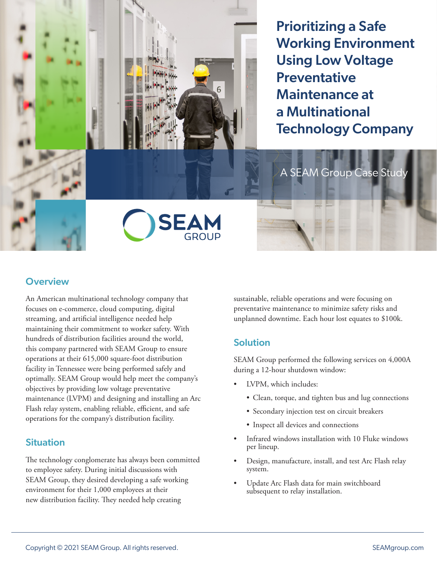Prioritizing a Safe Working Environment Using Low Voltage **Preventative** Maintenance at a Multinational Technology Company

A SEAM Group Case Study



## **Overview**

An American multinational technology company that focuses on e-commerce, cloud computing, digital streaming, and artificial intelligence needed help maintaining their commitment to worker safety. With hundreds of distribution facilities around the world, this company partnered with SEAM Group to ensure operations at their 615,000 square-foot distribution facility in Tennessee were being performed safely and optimally. SEAM Group would help meet the company's objectives by providing low voltage preventative maintenance (LVPM) and designing and installing an Arc Flash relay system, enabling reliable, efficient, and safe operations for the company's distribution facility.

## **Situation**

The technology conglomerate has always been committed to employee safety. During initial discussions with SEAM Group, they desired developing a safe working environment for their 1,000 employees at their new distribution facility. They needed help creating

sustainable, reliable operations and were focusing on preventative maintenance to minimize safety risks and unplanned downtime. Each hour lost equates to \$100k.

## **Solution**

SEAM Group performed the following services on 4,000A during a 12-hour shutdown window:

- LVPM, which includes:
	- Clean, torque, and tighten bus and lug connections
	- Secondary injection test on circuit breakers
	- Inspect all devices and connections
- Infrared windows installation with 10 Fluke windows per lineup.
- Design, manufacture, install, and test Arc Flash relay system.
- Update Arc Flash data for main switchboard subsequent to relay installation.